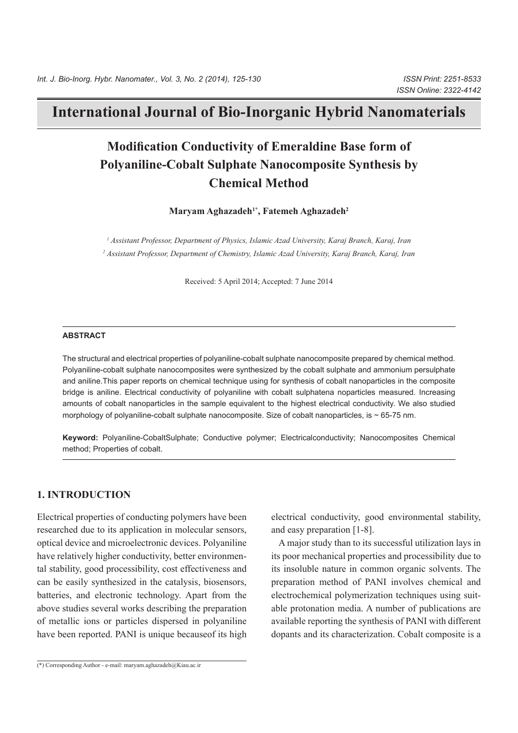# **International Journal of Bio-Inorganic Hybrid Nanomaterials**

# **Modification Conductivity of Emeraldine Base form of Polyaniline-Cobalt Sulphate Nanocomposite Synthesis by Chemical Method**

**Maryam Aghazadeh<sup>1</sup><sup>\*</sup>, Fatemeh Aghazadeh<sup>2</sup>** 

<sup>1</sup> Assistant Professor, Department of Physics, Islamic Azad University, Karaj Branch, Karaj, Iran <sup>2</sup> Assistant Professor, Department of Chemistry, Islamic Azad University, Karaj Branch, Karaj, Iran

Received: 5 April 2014; Accepted: 7 June 2014

#### **ABSTRACT**

The structural and electrical properties of polvaniline-cobalt sulphate nanocomposite prepared by chemical method. Polyaniline-cobalt sulphate nanocomposites were synthesized by the cobalt sulphate and ammonium persulphate and aniline. This paper reports on chemical technique using for synthesis of cobalt nanoparticles in the composite bridge is aniline. Electrical conductivity of polyaniline with cobalt sulphatena noparticles measured. Increasing amounts of cobalt nanoparticles in the sample equivalent to the highest electrical conductivity. We also studied morphology of polyaniline-cobalt sulphate nanocomposite. Size of cobalt nanoparticles, is  $\sim$  65-75 nm.

Keyword: Polyaniline-CobaltSulphate; Conductive polymer; Electricalconductivity; Nanocomposites Chemical method; Properties of cobalt.

## **1. INTRODUCTION**

Electrical properties of conducting polymers have been researched due to its application in molecular sensors, optical device and microelectronic devices. Polyaniline tal stability, good processibility, cost effectiveness and have relatively higher conductivity, better environmencan be easily synthesized in the catalysis, biosensors, batteries, and electronic technology. Apart from the above studies several works describing the preparation of metallic ions or particles dispersed in polyaniline have been reported. PANI is unique because of its high electrical conductivity, good environmental stability, and easy preparation  $[1-8]$ .

A major study than to its successful utilization lays in its poor mechanical properties and processibility due to its insoluble nature in common organic solvents. The preparation method of PANI involves chemical and able protonation media. A number of publications are electrochemical polymerization techniques using suitavailable reporting the synthesis of PANI with different dopants and its characterization. Cobalt composite is a

 $\overline{(*)}$  Corresponding Author - e-mail: maryam aghazadeh@Kiau.ac.ir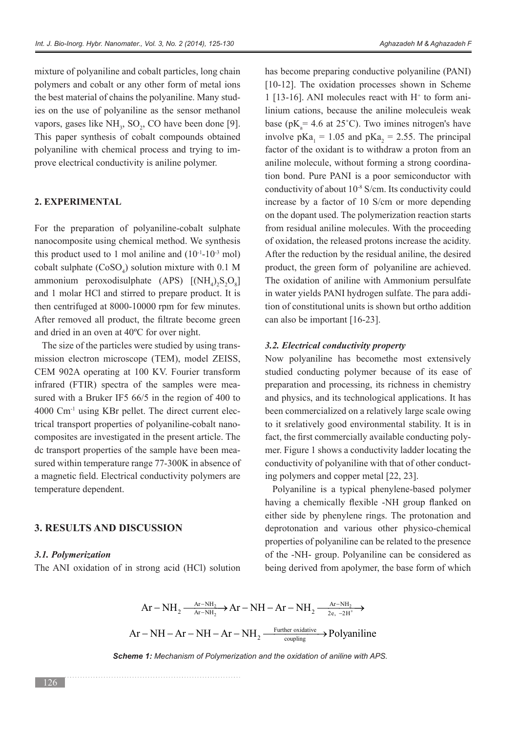mixture of polyaniline and cobalt particles, long chain polymers and cobalt or any other form of metal ions ies on the use of polyaniline as the sensor methanol the best material of chains the polyaniline. Many studvapors, gases like  $NH<sub>3</sub>$ , SO<sub>2</sub>, CO have been done [9]. This paper synthesis of cobalt compounds obtained polyaniline with chemical process and trying to im-<br>prove electrical conductivity is aniline polymer.

#### **EXPERIMENTAL 2.**

For the preparation of polyaniline-cobalt sulphate nanocomposite using chemical method. We synthesis this product used to 1 mol aniline and  $(10^{-1}-10^{-3} \text{ mol})$ cobalt sulphate  $(CoSO_4)$  solution mixture with 0.1 M ammonium peroxodisulphate  $(APS)$   $[(NH_4)_2S_2O_8]$ and 1 molar HCl and stirred to prepare product. It is then centrifuged at  $8000-10000$  rpm for few minutes. After removed all product, the filtrate become green and dried in an oven at  $40^{\circ}$ C for over night.

mission electron microscope (TEM), model ZEISS, The size of the particles were studied by using trans-CEM 902A operating at 100 KV. Fourier transform sured with a Bruker IF5  $66/5$  in the region of 400 to infrared (FTIR) spectra of the samples were meacomposites are investigated in the present article. The trical transport properties of polyaniline-cobalt nano- $4000$  Cm<sup>-1</sup> using KBr pellet. The direct current elecsured within temperature range 77-300K in absence of dc transport properties of the sample have been meaa magnetic field. Electrical conductivity polymers are temperature dependent.

### **3. RESULTS AND DISCUSSION**

#### *Polymerization 3.1.*

The ANI oxidation of in strong acid (HCl) solution

has become preparing conductive polyaniline (PANI) [ $10-12$ ]. The oxidation processes shown in Scheme 1 [13-16]. ANI molecules react with  $H^+$  to form ani linium cations, because the aniline moleculeis weak base ( $pK_a = 4.6$  at 25°C). Two imines nitrogen's have involve  $pKa_1 = 1.05$  and  $pKa_2 = 2.55$ . The principal factor of the oxidant is to withdraw a proton from an tion bond. Pure PANI is a poor semiconductor with aniline molecule, without forming a strong coordinaconductivity of about  $10^{-8}$  S/cm. Its conductivity could increase by a factor of  $10$  S/cm or more depending on the dopant used. The polymerization reaction starts from residual aniline molecules. With the proceeding of oxidation, the released protons increase the acidity. After the reduction by the residual aniline, the desired product, the green form of polyaniline are achieved. The oxidation of aniline with Ammonium persulfate tion of constitutional units is shown but ortho addition in water vields PANI hydrogen sulfate. The para addican also be important  $[16-23]$ .

#### **3.2. Electrical conductivity property**

Now polyaniline has becomethe most extensively studied conducting polymer because of its ease of preparation and processing, its richness in chemistry and physics, and its technological applications. It has been commercialized on a relatively large scale owing to it srelatively good environmental stability. It is in mer. Figure 1 shows a conductivity ladder locating the fact, the first commercially available conducting polyconductivity of polyaniline with that of other conducting polymers and copper metal [22, 23].

Polyaniline is a typical phenylene-based polymer having a chemically flexible -NH group flanked on either side by phenylene rings. The protonation and deprotonation and various other physico-chemical properties of polyaniline can be related to the presence of the -NH- group. Polyaniline can be considered as being derived from apolymer, the base form of which

$$
Ar - NH_2 \xrightarrow{Ar - NH_2} Ar - NH - Ar - NH_2 \xrightarrow{Ar - NH_2} \xrightarrow{Ar - NH_2} Ar
$$
  
 
$$
Ar - NH - Ar - NH - Ar - NH_2 \xrightarrow{Further \text{ oxidative}} \xrightarrow{Polyaniline}
$$

**Scheme 1:** Mechanism of Polymerization and the oxidation of aniline with APS.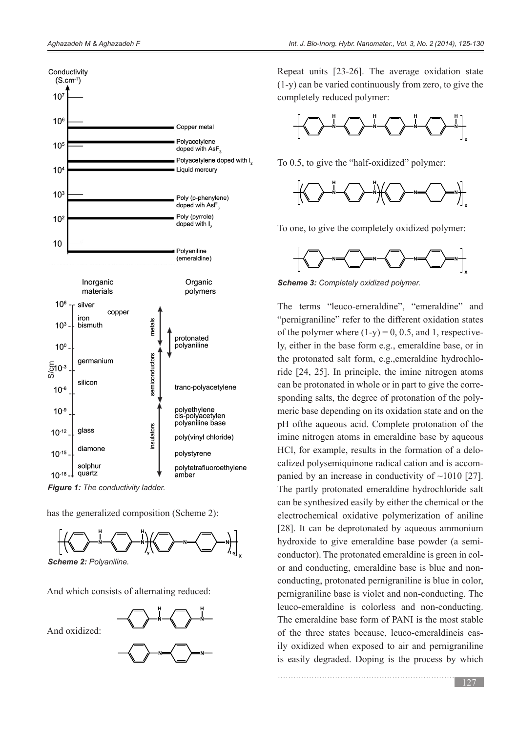

**Figure 1:** The conductivity ladder.

has the generalized composition (Scheme 2):



And which consists of alternating reduced:

And oxidized:



Repeat units  $[23-26]$ . The average oxidation state  $(1-y)$  can be varied continuously from zero, to give the completely reduced polymer:



To 0.5, to give the "half-oxidized" polymer:



To one, to give the completely oxidized polymer:



**Scheme 3: Completely oxidized polymer.** 

The terms "leuco-emeraldine", "emeraldine" and " pernigraniline" refer to the different oxidation states ly, either in the base form e.g., emeraldine base, or in of the polymer where  $(1-v) = 0$ , 0.5, and 1, respectiveride  $[24, 25]$ . In principle, the imine nitrogen atoms the protonated salt form, e.g., emeraldine hydrochlomeric base depending on its oxidation state and on the sponding salts, the degree of protonation of the polycan be protonated in whole or in part to give the correpH of the aqueous acid. Complete protonation of the imine nitrogen atoms in emeraldine base by aqueous panied by an increase in conductivity of  $\sim$ 1010 [27]. calized polysemiquinone radical cation and is accom-HCl, for example, results in the formation of a delo-The partly protonated emeraldine hydrochloride salt can be synthesized easily by either the chemical or the electrochemical oxidative polymerization of aniline [28]. It can be deprotonated by aqueous ammonium conducting, protonated pernigraniline is blue in color, or and conducting, emeraldine base is blue and nonconductor). The protonated emeraldine is green in colhydroxide to give emeraldine base powder (a semipernigraniline base is violet and non-conducting. The leuco-emeraldine is colorless and non-conducting. The emeraldine base form of PANI is the most stable ily oxidized when exposed to air and pernigraniline of the three states because, leuco-emeraldineis easis easily degraded. Doping is the process by which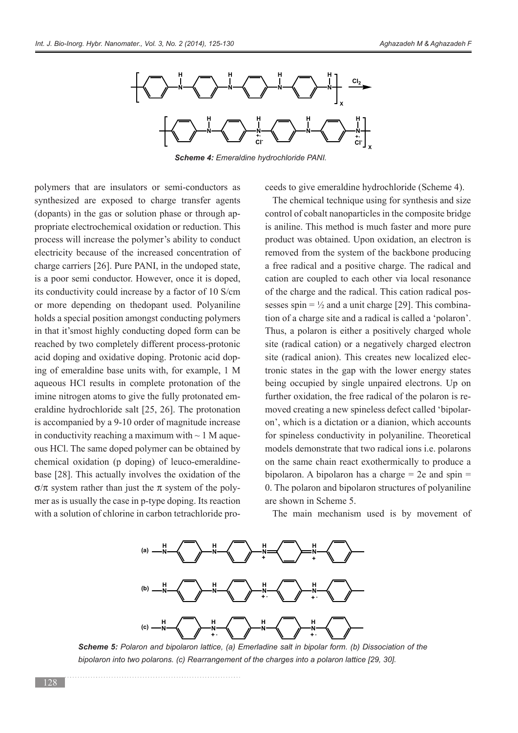

**Scheme 4: Emeraldine hydrochloride PANI.** 

polymers that are insulators or semi-conductors as synthesized are exposed to charge transfer agents (dopants) in the gas or solution phase or through appropriate electrochemical oxidation or reduction. This process will increase the polymer's ability to conduct electricity because of the increased concentration of charge carriers  $[26]$ . Pure PANI, in the undoped state, is a poor semi conductor. However, once it is doped, its conductivity could increase by a factor of 10 S/cm or more depending on thedopant used. Polyaniline holds a special position amongst conducting polymers in that it's most highly conducting doped form can be reached by two completely different process-protonic acid doping and oxidative doping. Protonic acid doping of emeraldine base units with, for example, 1 M aqueous HCl results in complete protonation of the eraldine hydrochloride salt  $[25, 26]$ . The protonation imine nitrogen atoms to give the fully protonated emis accompanied by a 9-10 order of magnitude increase ous HCl. The same doped polymer can be obtained by in conductivity reaching a maximum with  $\sim 1$  M aquechemical oxidation (p doping) of leuco-emeraldine-<br>base [28]. This actually involves the oxidation of the mer as is usually the case in p-type doping. Its reaction  $\sigma/\pi$  system rather than just the  $\pi$  system of the polywith a solution of chlorine in carbon tetrachloride pro-

s ceeds to give emeraldine hydrochloride (Scheme 4).<br>
The chemical technique using for synthesis and sis control of cobalt nanoparticles in the composite bridg<br>
is aniline. This method is much faster and more pu<br>
product The chemical technique using for synthesis and size control of cobalt nanoparticles in the composite bridge is aniline. This method is much faster and more pure product was obtained. Upon oxidation, an electron is removed from the system of the backbone producing a free radical and a positive charge. The radical and cation are coupled to each other via local resonance tion of a charge site and a radical is called a 'polaron'. sesses spin =  $\frac{1}{2}$  and a unit charge [29]. This combinaof the charge and the radical. This cation radical pos-Thus, a polaron is either a positively charged whole site (radical cation) or a negatively charged electron site (radical anion). This creates new localized electronic states in the gap with the lower energy states being occupied by single unpaired electrons. Up on on', which is a dictation or a dianion, which accounts moved creating a new spineless defect called 'bipolarfurther oxidation, the free radical of the polaron is refor spineless conductivity in polyaniline. Theoretical models demonstrate that two radical ions *i.e.* polarons on the same chain react exothermically to produce a bipolaron. A bipolaron has a charge  $= 2e$  and spin  $=$ 0. The polaron and bipolaron structures of polyaniline are shown in Scheme 5.

The main mechanism used is by movement of



**Scheme 5:** Polaron and bipolaron lattice, (a) Emerladine salt in bipolar form. (b) Dissociation of the bipolaron into two polarons. (c) Rearrangement of the charges into a polaron lattice [29, 30].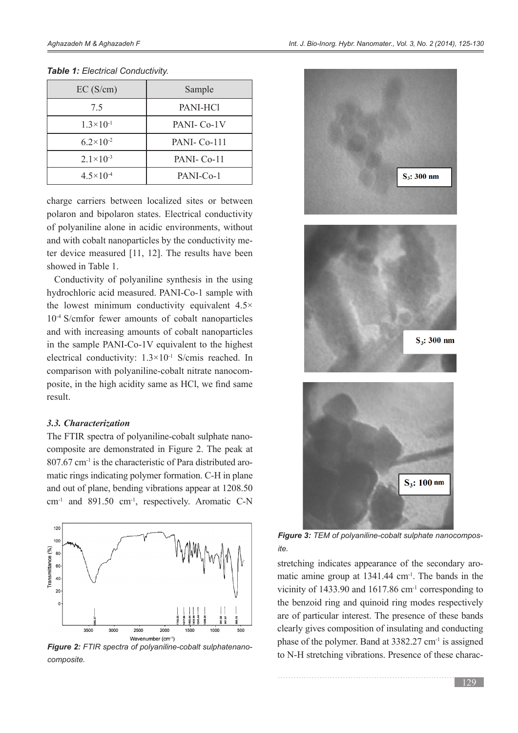| EC(S/cm)             | Sample                 |
|----------------------|------------------------|
| 75                   | PANI-HCl               |
| $1.3\times10^{-1}$   | PANI- Co-1V            |
| $6.2 \times 10^{-2}$ | PANI- Co-111           |
| $2.1 \times 10^{-3}$ | PANI-Co-11             |
| $4.5 \times 10^{-4}$ | PANI-C <sub>0</sub> -1 |

#### **Table 1: Electrical Conductivity.**

charge carriers between localized sites or between polaron and bipolaron states. Electrical conductivity of polyaniline alone in acidic environments, without ter device measured  $[11, 12]$ . The results have been and with cobalt nanoparticles by the conductivity meshowed in Table 1.

Conductivity of polyaniline synthesis in the using hydrochloric acid measured. PANI-Co-1 sample with the lowest minimum conductivity equivalent  $4.5\times$  $10^{-4}$  S/cmfor fewer amounts of cobalt nanoparticles and with increasing amounts of cobalt nanoparticles in the sample PANI-Co-1V equivalent to the highest electrical conductivity:  $1.3 \times 10^{-1}$  S/cmis reached. In posite, in the high acidity same as HCl, we find same comparison with polyaniline-cobalt nitrate nanocom-.result

#### *Characterization 3.3.*

composite are demonstrated in Figure 2. The peak at The FTIR spectra of polyaniline-cobalt sulphate nanomatic rings indicating polymer formation. C-H in plane  $807.67$  cm<sup>-1</sup> is the characteristic of Para distributed aroand out of plane, bending vibrations appear at 1208.50  $cm<sup>-1</sup>$  and 891.50  $cm<sup>-1</sup>$ , respectively. Aromatic C-N



**Figure 2:** FTIR spectra of polyaniline-cobalt sulphatenano-<br>composite.



**Figure 3:** TEM of polyaniline-cobalt sulphate nanocompos-<br>ite.

matic amine group at  $1341.44$  cm<sup>-1</sup>. The bands in the stretching indicates appearance of the secondary arovicinity of  $1433.90$  and  $1617.86$  cm<sup>-1</sup> corresponding to the benzoid ring and quinoid ring modes respectively are of particular interest. The presence of these bands clearly gives composition of insulating and conducting phase of the polymer. Band at  $3382.27$  cm<sup>-1</sup> is assigned to N-H stretching vibrations. Presence of these charac